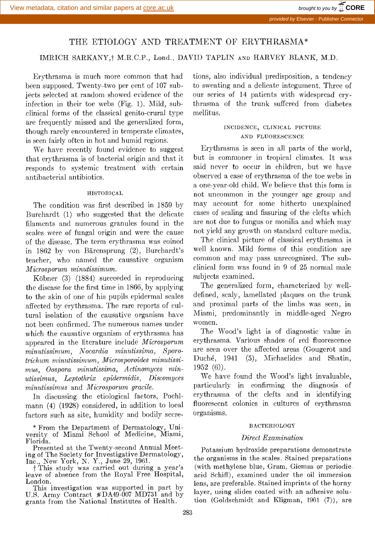# THE ETIOLOGY AND TREATMENT OF ERYTHRASMA\*

## IMRICH SARKANY,<sup>†</sup> M.R.C.P., Lond., DAVID TAPLIN AND HARVEY BLANK, M.D.

Erythrasma is much more common that had been supposed. Twenty-two per cent of 107 subects selected at random showed evidence of the infection in their toe webs (Fig. 1). Mild, subclinical forms of the classical genito-crural type are frequently missed and the generalized form, though rarely encountered in temperate climates, is seen fairly often in hot and humid regions.

We have recently found evidence to suggest that erythrasma is of bacterial origin and that it responds to systemic treatment with certain antibacterial antibiotics.

### HISTORICAL

The condition was first described in 1859 by Burcliardt (1) who suggested that the delicate filaments and numerous granules found in the scales were of fungal origin and were the cause of the disease. The term erythrasma was coined in 1862 by von Bärensprung (2), Burchardt's teacher, who named the causative organism Micros porum minutissimum.

Köbner (3) (1884) succeeded in reproducing the disease for the first time in 1866, by applying to the skin of one of his pupils epidermal scales affected by erythrasma. The rare reports of cultural isolation of the causative organism have Miami,<br>not been confirmed. The numerous names under women. not been confirmed. The numerous names under which the causative organism of erythrasma has appeared in the literature include Microsporum minutissimum, Nocardia minutissima, Sporo-Irichum minutissimum, Micros poroides minutissimus, Oospora minutissima, Actinomyces minutissimus, Leptothrix epidermidis, Discomyces we have found the wood's light invaluable,<br>minutissimus and Microsporum gracile sparticularly in confirming the diagnosis of minutissimus and Microsporum gracile.

In discussing the etiological factors, Poehlmann (4) (1928) considered, in addition to local factors such as site, humidity and bodily secre-

\* From the Department of Dermatology, Uni- versity of Miami School of Medicine, Miami, Florida.

Presented at the Twenty-second Annual Meet-

leave of absence from the Royal Free Hospital, London.

U.S. Army Contract \*DA49-007 MD731 and by grants from the National Institutes of Health.

tions, also individual predisposition, a tendency to sweating and a delicate integument. Three of our series of 14 patients with widespread crythrasma of the trunk suffered from diabetes mellitus.

### INCIDENCE, CLINICAL PICTURE AND FLUORESCENCE

Erythrasma is seen in all parts of the world, but is commoner in tropical climates. It was said never to occur in children, but we have observed a case of erythrasma of the toe webs in a one-year-old child. We believe that this form is not uncommon in the younger age group and may account for some hitherto unexplained eases of scaling and fissuring of the clefts which are not due to fungus or monilia and which may not yield any growth on standard culture media.

The clinical picture of classical erythrasma is well known. Mild forms of this condition are common and may pass unrecognized. The subclinical form was found in 9 of 25 normal male subjects examined.

The generalized form, characterized by welldefined, scaly, lamellated plaques on the trunk and proximal parts of the limbs was seen, in Miami, predominantly in middle-aged Negro

The Wood's light is of diagnostic value in erythrasma. Various shades of red fluorescence are seen over the affected areas (Gougerot and Duché, 1941 (5), Michaelides and Shatin, 1952 (6)).

We have found the Wood's light invaluable, erythrasma of the clefts and in identifying fluorescent colonies in cultures of erythrasma organisms.

#### BACTERIOLOGY

### Direct Examination

ing of The Society for Investigative Dermatology,<br>
Inc., New York, N. Y., June 29, 1961.<br>
† This study was carried out during a year's (with methylene blue, Gram, Giemsa or periodic<br>
leave of absence from the Royal Free Ho Potassium hydroxide preparations demonstrate the organisms in the scales. Stained preparations (with methylene blue, Gram. Giemsa or periodiclens, are preferable. Stained imprints of the horny layer, using slides coated with an adhesive solution (Goldschmidt and Kligman, 1961 (7)), are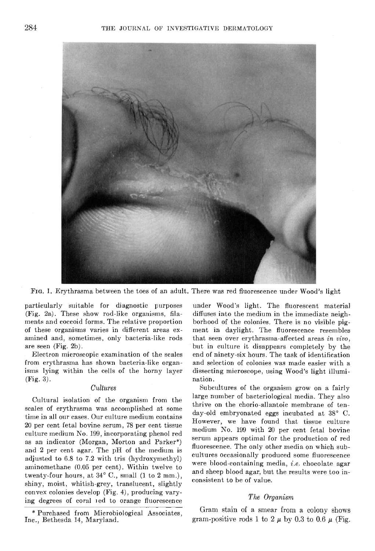

Fin. 1. Erythrasma between the toes of an adult. There was red fluorescence under Wood's light

particularly suitable for diagnostic purposes (Fig. 2a). These show rod-like organisms, filaments and coccoid forms. The relative proportion of these organisms varies in different areas examined and, sometimes, only bacteria-like rods are seen (Fig. 2b).

Electron microscopic examination of the scales from erythrasma has shown bacteria-like organisms lying within the cells of the horny layer (Fig. 3).

### Cultures

Cultural isolation of the organism from the scales of erythrasma was accomplished at some time in all our eases. Our culture medium contains 20 per cent fetal bovine serum, 78 per cent tissue culture medium No. 109, incorporating phenol red as an indicator (Morgan, Morton and Parker\*) and 2 per cent agar. The pH of the medium is adjusted to 0.8 to 7.2 with tris (hydroxymethyl) aminomethane (0.05 per cent). Within twelve to twenty-four hours, at 34° C., small (1 to 2 mm.), shiny, moist, whitish-grey, translucent, slightly convex colonies develop (Fig. 4), producing varying degrees of coral ied to orange fluorescence

\* Purchased from Microbiological Associates, Inc., Bethesda 14, Maryland.

under Wood's light. The fluorescent material diffuses into the medium in the immediate neighborhood of the colonies. There is no visible pigment in daylight. The fluorescence resembles that seen over erythrasma-affeeted areas in vivo, but in culture it disappears completely by the end of ninety-six hours. The task of identification and selection of colonies was made easier with a dissecting microscope, using Wood's light illumi- nation.

Subcultures of the organism grow on a fairly large number of bacteriological media. They also thrive on the chorio-allantoie membrane of tenday-old embryonated eggs incubated at 38° C. However, we have found that tissue culture medium No. 199 with 20 per cent fetal bovine serum appears optimal for the production of red fluorescence. The only other media on which subcultures occasionally produced some fluorescence were blood-containing media, i.e. chocolate agar and sheep blood agar, but the results were too inconsistent to be of value.

### The Organism

Gram stain of a smear from a colony shows gram-positive rods 1 to 2  $\mu$  by 0.3 to 0.6  $\mu$  (Fig.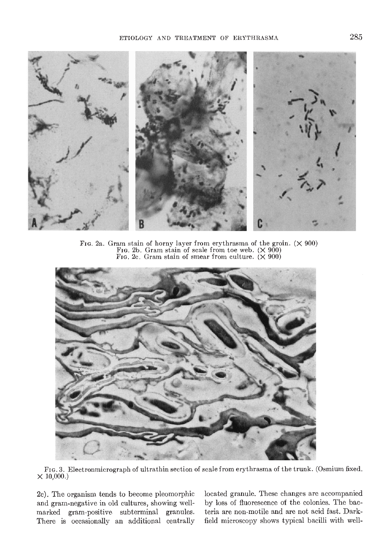

FIG. 2a. Gram stain of horny layer from erythrasma of the groin.  $(\times 900)$ <br>FIG. 2b. Gram stain of scale from toe web.  $(\times 900)$ <br>FIG. 2c. Gram stain of smear from culture.  $(\times 900)$ 



Fin. 3. Electronmicrograph of ultrathin section of scale from erythrasma of the trunk. (Osmium fixed.  $\times$  10,000.)

2c). The organism tends to become pleomorphic and gram-negative in old cultures, showing wellmarked gram-positive subterminal granules. There is occasionally an additional centrally located granule. These changes are accompanied by loss of fluorescence of the colonies. The bacteria are non-motile and are not acid fast. Darkfield microscopy shows typical bacilli with well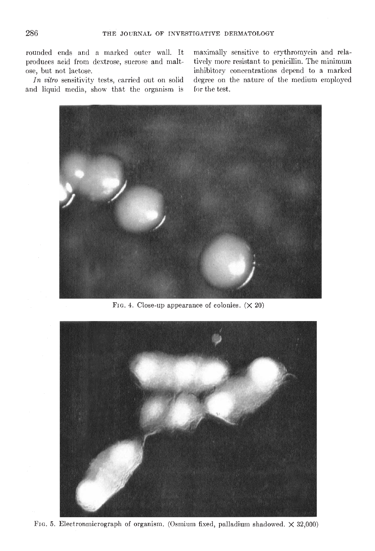rounded ends and a marked outer wall. It produces acid from dextrose, sucrose and maltose, but not lactose.

In vitro sensitivity tests, carried out on solid and liquid media, show that the organism is

maximally sensitive to erythromycin and relatively more resistant to penicillin. The minimum inhibitory concentrations depend to a marked degree on the nature of the medium employed for the test.



FIG. 4. Close-up appearance of colonies.  $(\times 20)$ 

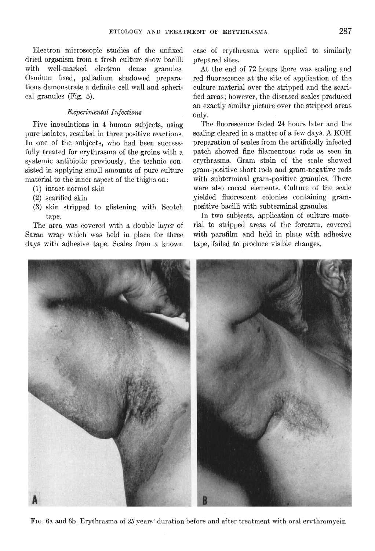Electron microscopic studies of the unfixed dried organism from a fresh culture show bacilli with well-marked electron dense granules. Osmium fixed, palladium shadowed preparations demonstrate a definite cell wall and spherical granules (Fig. 5).

### Experimental Infections

Five inoculations in 4 human subjects, using pure isolates, resulted in three positive reactions. In one of the subjects, who had been successfully treated for erythrasma of the groins with a systemic antibiotic previously, the technic consisted in applying small amounts of pure culture material to the inner aspect of the thighs on:

- (1) intact normal skin
- (2) scarified skin
- (3) skin stripped to glistening with Scotch tape.

The area was covered with a double layer of Saran wrap which was held in place for three days with adhesive tape. Scales from a known case of erythrasma were applied to similarly prepared sites.

At the end of 72 hours there was scaling and red fluorescence at the site of application of the culture material over the stripped and the scarified areas; however, the diseased scales produced an exactly similar picture over the stripped areas only.

The fluorescence faded 24 hours later and the scaling cleared in a matter of a few days. A KOH preparation of scales from the artificially infected patch showed fine filamentous rods as seen in erythrasma. Gram stain of the scale showed gram-positive short rods and gram-negative rods with subterminal gram-positive granules. There were also coccai elements. Culture of the scale yielded fluorescent colonies containing grampositive bacilli with subterminal granules.

In two subjects, application of culture material to stripped areas of the forearm, covered with parafilm and held in place with adhesive tape, failed to produce visible changes.



FIG. 6a and 6b. Erythrasma of 25 years' duration before and after treatment with oral ervthromycin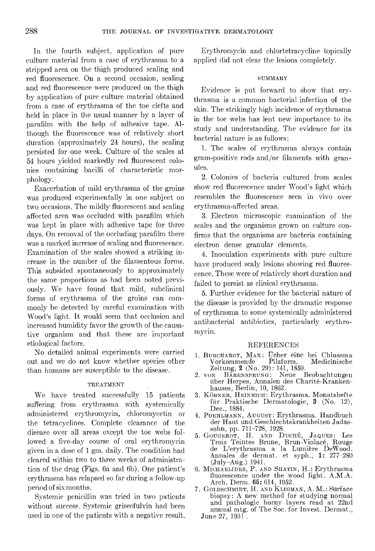In the fourth subject, application of pure culture material from a case of erythrasma to a stripped area on the thigh produced scaling and red fluorescence. On a second occasion, scaling and red fluorescence were produced on the thigh by application of pure culture material obtained from a case of erythrasma of the toe clefts and held in place in the usual manner by a layer of parafilm with the help of adhesive tape. Although the fluorescence was of relatively short duration (approximately 24 hours), the scaling persisted for one week. Culture of the scales at 54 hours yielded markedly red fluorescent colonies containing bacilli of characteristic morphology.

Exacerbation of mild erythrasma of the groins was produced experimentally in one subject on two occasions. The mildly fluorescent and scaling affected area was occluded with parafilm which was kept in place with adhesive tape for three days. On removal of the occluding parafilm there was a marked increase of scaling and fluorescence. Examination of the scales showed a striking increase in the number of the filamentous forms. This subsided spontaneously to approximately the same proportions as had been noted previously. We have found that mild, subclinical forms of erythrasma of the groins can commonly be detected by careful examination with Wood's light. It would seem that occlusion and increased humidity favor the growth of the causative organism and that these are important etiological factors.

No detailed animal experiments were carried out and we do not know whether species other vorkommende Pilzform.<br>than humans are susceptible to the disease Zeitung, 2 (No. 29): 141, 1859. than humans are susceptible to the disease.

#### TREATMENT

hauses, Berlin, 10, 1862.<br>We have treated successfully 15 patients 3. Könner, Hennarch: Erytl suffering from erythrasma with systemically administered erythromycin, chloromycetin or the tetracyclines. Complete clearance of the der Haut und Geschlechtskrankheiten Jadas-<br>disoaso over all areas execut the toe webs foll sohn, pp. 711–728, 1928. disease over all areas except the toe webs followed a five-day course of oral erythromycin given in a dose of 1 gm. daily. The condition had de L'erythrasma a la Lumière DeWood.<br>Annales de dermat, et syph., 1: 277-280 cleared within two to three weeks of administracleared within two to three weeks of administra-<br>tion of the drug (Figs. 6a and 6b). One patient's  $\,$  6. MICHAELIDES, P. AN erythrasma has relapsed so far during a follow-up thus research when the way period of six months.

without success. Systemic griseofulvin had been used in one of the patients with a negative result.

Erythromycin and chlortetracycline topically applied did not clear the lesions completely.

#### **SUMMARY**

Evidence is put forward to show that crythrasma is a common bacterial infection of the skin. The strikingly high incidence of erythrasma in the toe webs has lent new importance to its study and understanding. The evidence for its bacterial nature is as follows:

1. The scales of erythrasma always contain gram-positive rods and/or filaments with granules.

2. Colonies of bacteria cultured from scales show red fluorescence under Wood's light which resembles the fluorescence seen in vivo over erythrasma-affected areas.

3. Electron microscopic examination of the scales and the organisms grown on culture confirms that the organisms are bacteria containing electron dense granular elements.

4. Inoculation experiments with pure culture have produced scaly lesions showing red fluorescence. These were of relatively short duration and failed to persist as clinical erythrasma.

5. Further evidence for the bacterial nature of the disease is provided by the dramatic response of erythrasma to some systemically administered antibacterial antibiotics, particularly erythromycin.

### REFERENCES

- 1. BURCHARDT, MAX: Üeber eine bei Chloasma<br>Vorkommende Pilzform. Medicinische Vorkommende
- 2. von BARENSPRUNG: Neue Beobachtungen über Herpes. Annalen des Charité-Kranken-
- 3. KÖBNER, HEINRICH: Erythrasma. Monatshefte für Praktische Dermatologie, 3 (No. 12), Dec., 1884.
- 4. POEHLMANN, AUGUST: Erythrasma. Handbuch
- 5. GOUGEROT, H. AND DUCHÉ, JAQUES: Les Trois Teintes Brune, Brun-Violacé, Rouge<br>de L'erythrasma a la Lumière DeWood.
- 6. MICHAELIDES, P. AND SHATIN, H.: Erythrasma fluorescence under the wood light. A.M.A.
- Systemic penicillin was tried in two patients biopsy: A new method for studying normal 7. GOLDSCHMIDT, H. AND KLIGMAN, A. M.: Surface biopsy: A new method for studying normal and pathologic horny layers read at 22nd annual mtg. of The Soc. for Invest. Dermat., June 27, 1961.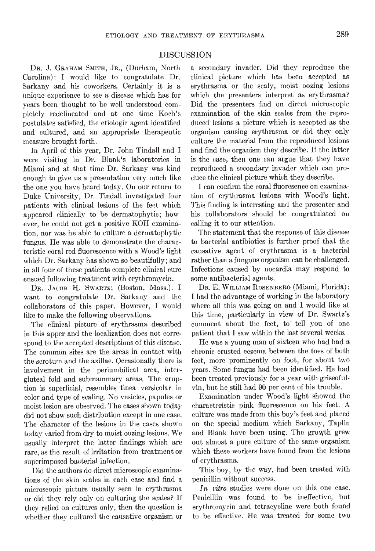## DISCUSSION

DR. J. GRAHAM SMITH, JR., (Durham, North Carolina): I would like to congratulate Dr. Sarkany and his coworkers. Certainly it is a unique experience to see a disease which has for years been thought to be well understood completely rcdelineatcd and at one time Koch's postulates satisfied, the ctiologic agent identified and cultured, and an appropriate therapeutic measure brought forth.

In April of this year, Dr. John Tindall and I were visiting in Dr. Blank's laboratories in Miami and at that time Dr. Sarkany was kind enough to give us a presentation very much like the one you have heard today. On our return to Duke University, Dr. Tindall investigated four patients with clinical lesions of the feet which appeared clinically to be dermatophytic; however, he could not get a positive KOH examination, nor was he able to culture a dermatophytic fungus. He was able to demonstrate the characteristic coral red fluorescence with a Wood's light which Dr. Sarkany has shown so beautifully; and in all four of these patients complete clinical cure ensued following treatment with erythromycin.

DR. JACOB H. SWARTZ: (Boston, Mass.). I want to congratulate Dr. Sarkany and the collaborators of this paper. However, I would like to make the following observations.

The clinical picture of erythrasma described in this apper and the localization does not correspond to the accepted descriptions of this disease. The common sites are the areas in contact with the scrotum and the axillae. Occasionally there is involvement in the periumbilical area, intergluteal fold and submammary areas. The eruption is superficial, resembles tinea versicolar in color and type of scaling. No vesicles, papules or moist lesion are observed. The cases shown today did not show such distribution except in one case. The character of the lesions in the eases shown today varied from dry to moist oozing lesions. We usually interpret the latter findings which are rare, as the result of irritation from treatment or superimposed bacterial infection.

Did the authors do direct microscopic examinations of the skin scales in each case and find a microscopic picture usually seen in erythrasma or did they rely only on culturing the scales? If they relied on cultures only, then the question is whether they cultured the causative organism or

a secondary invader. Did they reproduce the clinical picture which has been accepted as erythrasma or the scaly, moist oozing lesions which the presenters interpret as erythrasma? Did the presenters find on direct microscopic examination of the skin scales from the reproduced lesions a picture which is accepted as the organism causing erythrasma or did they only culture the material from the reproduced lesions and find the organism they describe. If the latter is the case, then one can argue that they have reproduced a secondary invader which can produce the clinical picture which they describe.

I can confirm the coral fluoresence on examination of erythrasma lesions with Wood's light. This finding is interesting and the presenter and his collaborators should be congratulated on calling it to our attention.

The statement that the response of this disease to bacterial antibiotics is further proof that the causative agent of erythrasma is a bacterial rather than a fungous organism can be challenged. Infections caused by nocardia may respond to some antibacterial agents.

DR. E. WILLIAM ROSENBERG (Miami, Florida): I had the advantage of working in the laboratory where all this was going on and I would like at this time, particularly in view of Dr. Swartz's comment about the feet, to tell you of one patient that I saw within the last several weeks.

He was a young man of sixteen who had had a chronic crusted eczema between the toes of both feet, more prominently on foot, for about two years. Some fungus had been identified. He had been treated previously for a year with griseofulyin, but he still had 90 per cent of his trouble.

Examination under Wood's light showed the characteristic pink fluorescence on his feet. A culture was made from this boy's feet and placed on the special medium which Sarkany, Taplin and Blank have been using. The growth grew out almost a pure culture of the same organism which these workers have found from the lesions of erythrasma.

This boy, by the way, had been treated with penicillin without success.

In vitro studies were done on this one case. Penicillin was found to be ineffective, but erythromycin and tetracycline were both found to be effective. He was treated for some two